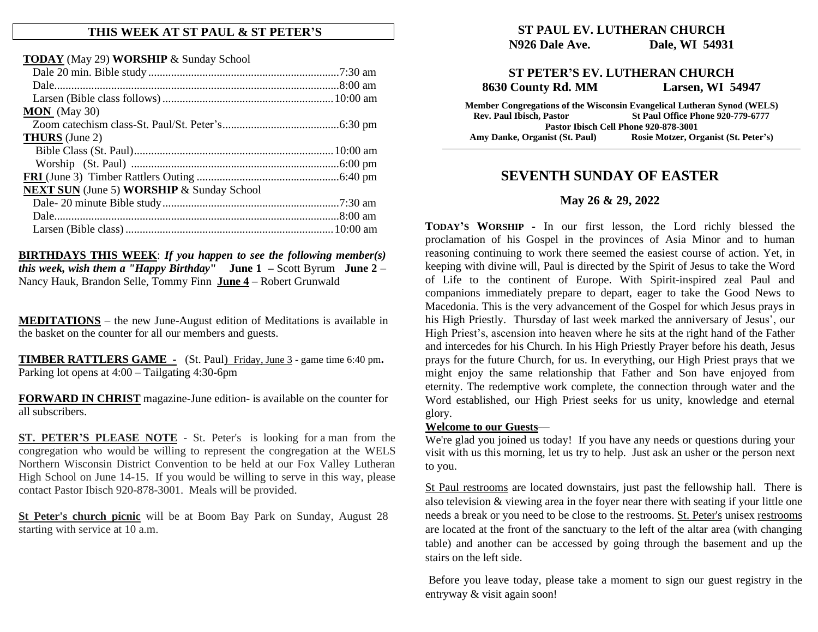#### **THIS WEEK AT ST PAUL & ST PETER'S**

**TODAY** (May 29) **WORSHIP** & Sunday School

| $MON$ (May 30)                                          |  |
|---------------------------------------------------------|--|
|                                                         |  |
| <b>THURS</b> (June 2)                                   |  |
|                                                         |  |
|                                                         |  |
|                                                         |  |
| <b>NEXT SUN</b> (June 5) <b>WORSHIP</b> & Sunday School |  |
|                                                         |  |
|                                                         |  |
|                                                         |  |
|                                                         |  |

**BIRTHDAYS THIS WEEK**: *If you happen to see the following member(s) this week, wish them a "Happy Birthday***" June 1 –** Scott Byrum **June 2** – Nancy Hauk, Brandon Selle, Tommy Finn **June 4** – Robert Grunwald

**MEDITATIONS** – the new June-August edition of Meditations is available in the basket on the counter for all our members and guests.

**TIMBER RATTLERS GAME -** (St. Paul) Friday, June 3 - game time 6:40 pm**.** Parking lot opens at 4:00 – Tailgating 4:30-6pm

**FORWARD IN CHRIST** magazine-June edition- is available on the counter for all subscribers.

**ST. PETER'S PLEASE NOTE** - St. Peter's is looking for a man from the congregation who would be willing to represent the congregation at the WELS Northern Wisconsin District Convention to be held at our Fox Valley Lutheran High School on June 14-15. If you would be willing to serve in this way, please contact Pastor Ibisch 920-878-3001. Meals will be provided.

**St Peter's church picnic** will be at Boom Bay Park on Sunday, August 28 starting with service at 10 a.m.

### **ST PAUL EV. LUTHERAN CHURCH N926 Dale Ave. Dale, WI 54931**

### **ST PETER'S EV. LUTHERAN CHURCH 8630 County Rd. MM Larsen, WI 54947**

**Member Congregations of the Wisconsin Evangelical Lutheran Synod (WELS) Rev. Paul Ibisch, Pastor St Paul Office Phone 920-779-6777 Pastor Ibisch Cell Phone 920-878-3001 Amy Danke, Organist (St. Paul) Rosie Motzer, Organist (St. Peter's)**

## **SEVENTH SUNDAY OF EASTER**

#### **May 26 & 29, 2022**

**TODAY'S WORSHIP -** In our first lesson, the Lord richly blessed the proclamation of his Gospel in the provinces of Asia Minor and to human reasoning continuing to work there seemed the easiest course of action. Yet, in keeping with divine will, Paul is directed by the Spirit of Jesus to take the Word of Life to the continent of Europe. With Spirit-inspired zeal Paul and companions immediately prepare to depart, eager to take the Good News to Macedonia. This is the very advancement of the Gospel for which Jesus prays in his High Priestly. Thursday of last week marked the anniversary of Jesus', our High Priest's, ascension into heaven where he sits at the right hand of the Father and intercedes for his Church. In his High Priestly Prayer before his death, Jesus prays for the future Church, for us. In everything, our High Priest prays that we might enjoy the same relationship that Father and Son have enjoyed from eternity. The redemptive work complete, the connection through water and the Word established, our High Priest seeks for us unity, knowledge and eternal glory.

#### **Welcome to our Guests**—

We're glad you joined us today! If you have any needs or questions during your visit with us this morning, let us try to help. Just ask an usher or the person next to you.

St Paul restrooms are located downstairs, just past the fellowship hall. There is also television & viewing area in the foyer near there with seating if your little one needs a break or you need to be close to the restrooms. St. Peter's unisex restrooms are located at the front of the sanctuary to the left of the altar area (with changing table) and another can be accessed by going through the basement and up the stairs on the left side.

Before you leave today, please take a moment to sign our guest registry in the entryway & visit again soon!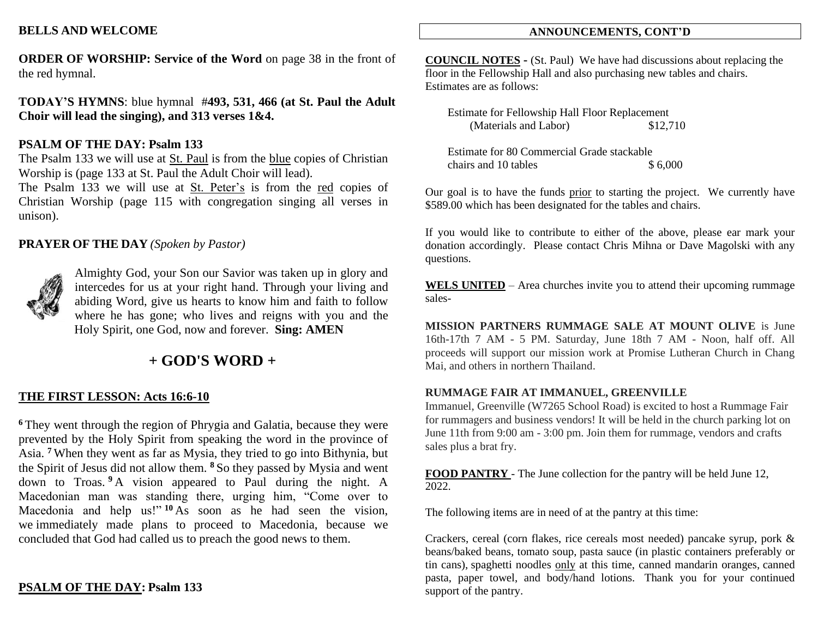### **BELLS AND WELCOME**

**ORDER OF WORSHIP: Service of the Word** on page 38 in the front of the red hymnal.

**TODAY'S HYMNS**: blue hymnal #**493, 531, 466 (at St. Paul the Adult Choir will lead the singing), and 313 verses 1&4.**

#### **PSALM OF THE DAY: Psalm 133**

The Psalm 133 we will use at St. Paul is from the blue copies of Christian Worship is (page 133 at St. Paul the Adult Choir will lead).

The Psalm 133 we will use at St. Peter's is from the red copies of Christian Worship (page 115 with congregation singing all verses in unison).

### **PRAYER OF THE DAY** *(Spoken by Pastor)*



Almighty God, your Son our Savior was taken up in glory and intercedes for us at your right hand. Through your living and abiding Word, give us hearts to know him and faith to follow where he has gone; who lives and reigns with you and the Holy Spirit, one God, now and forever. **Sing: AMEN**

# **+ GOD'S WORD +**

#### **THE FIRST LESSON: Acts 16:6-10**

**<sup>6</sup>** They went through the region of Phrygia and Galatia, because they were prevented by the Holy Spirit from speaking the word in the province of Asia. **<sup>7</sup>** When they went as far as Mysia, they tried to go into Bithynia, but the Spirit of Jesus did not allow them. **<sup>8</sup>** So they passed by Mysia and went down to Troas. **<sup>9</sup>** A vision appeared to Paul during the night. A Macedonian man was standing there, urging him, "Come over to Macedonia and help us!" **<sup>10</sup>** As soon as he had seen the vision, we immediately made plans to proceed to Macedonia, because we concluded that God had called us to preach the good news to them.

#### **PSALM OF THE DAY: Psalm 133**

#### **ANNOUNCEMENTS, CONT'D**

**COUNCIL NOTES -** (St. Paul) We have had discussions about replacing the floor in the Fellowship Hall and also purchasing new tables and chairs. Estimates are as follows:

| <b>Estimate for Fellowship Hall Floor Replacement</b> |          |
|-------------------------------------------------------|----------|
| (Materials and Labor)                                 | \$12,710 |

Estimate for 80 Commercial Grade stackable chairs and 10 tables \$ 6,000

Our goal is to have the funds prior to starting the project. We currently have \$589.00 which has been designated for the tables and chairs.

If you would like to contribute to either of the above, please ear mark your donation accordingly. Please contact Chris Mihna or Dave Magolski with any questions.

WELS UNITED – Area churches invite you to attend their upcoming rummage sales-

**MISSION PARTNERS RUMMAGE SALE AT MOUNT OLIVE** is June 16th-17th 7 AM - 5 PM. Saturday, June 18th 7 AM - Noon, half off. All proceeds will support our mission work at Promise Lutheran Church in Chang Mai, and others in northern Thailand.

#### **RUMMAGE FAIR AT IMMANUEL, GREENVILLE**

Immanuel, Greenville (W7265 School Road) is excited to host a Rummage Fair for rummagers and business vendors! It will be held in the church parking lot on June 11th from 9:00 am - 3:00 pm. Join them for rummage, vendors and crafts sales plus a brat fry.

**FOOD PANTRY** - The June collection for the pantry will be held June 12, 2022.

The following items are in need of at the pantry at this time:

Crackers, cereal (corn flakes, rice cereals most needed) pancake syrup, pork & beans/baked beans, tomato soup, pasta sauce (in plastic containers preferably or tin cans), spaghetti noodles only at this time, canned mandarin oranges, canned pasta, paper towel, and body/hand lotions. Thank you for your continued support of the pantry.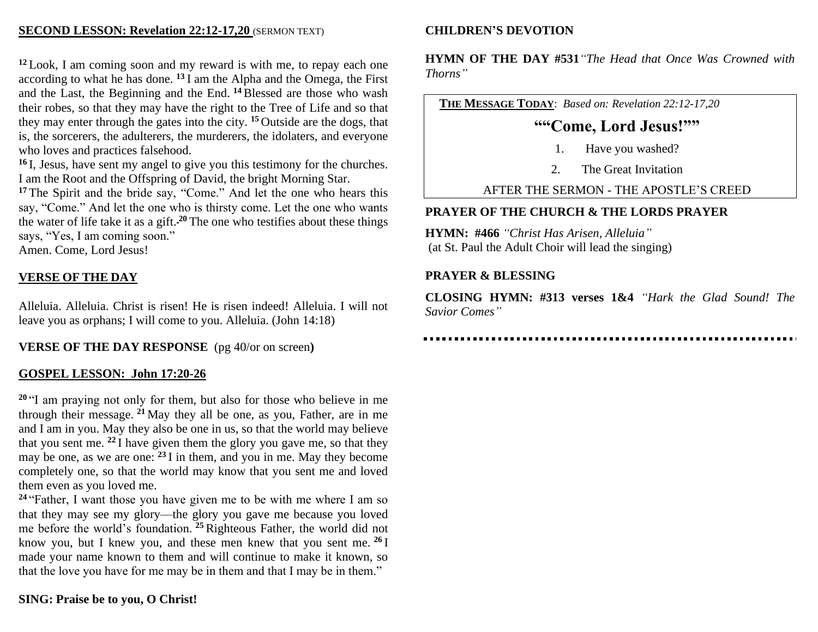## **SECOND LESSON: Revelation 22:12-17,20** (SERMON TEXT)

**<sup>12</sup>** Look, I am coming soon and my reward is with me, to repay each one according to what he has done. **<sup>13</sup>** I am the Alpha and the Omega, the First and the Last, the Beginning and the End. **<sup>14</sup>**Blessed are those who wash their robes, so that they may have the right to the Tree of Life and so that they may enter through the gates into the city. **<sup>15</sup>** Outside are the dogs, that is, the sorcerers, the adulterers, the murderers, the idolaters, and everyone who loves and practices falsehood.

**<sup>16</sup>** I, Jesus, have sent my angel to give you this testimony for the churches. I am the Root and the Offspring of David, the bright Morning Star.

**<sup>17</sup>** The Spirit and the bride say, "Come." And let the one who hears this say, "Come." And let the one who is thirsty come. Let the one who wants the water of life take it as a gift. **<sup>20</sup>** The one who testifies about these things says, "Yes, I am coming soon."

Amen. Come, Lord Jesus!

## **VERSE OF THE DAY**

Alleluia. Alleluia. Christ is risen! He is risen indeed! Alleluia. I will not leave you as orphans; I will come to you. Alleluia. (John 14:18)

**VERSE OF THE DAY RESPONSE** (pg 40/or on screen**)**

## **GOSPEL LESSON: John 17:20-26**

<sup>20</sup> "I am praying not only for them, but also for those who believe in me through their message. **<sup>21</sup>** May they all be one, as you, Father, are in me and I am in you. May they also be one in us, so that the world may believe that you sent me. **<sup>22</sup>** I have given them the glory you gave me, so that they may be one, as we are one: **<sup>23</sup>** I in them, and you in me. May they become completely one, so that the world may know that you sent me and loved them even as you loved me.

**<sup>24</sup>** "Father, I want those you have given me to be with me where I am so that they may see my glory—the glory you gave me because you loved me before the world's foundation. **<sup>25</sup>**Righteous Father, the world did not know you, but I knew you, and these men knew that you sent me. **<sup>26</sup>** I made your name known to them and will continue to make it known, so that the love you have for me may be in them and that I may be in them."

## **CHILDREN'S DEVOTION**

**HYMN OF THE DAY #531***"The Head that Once Was Crowned with Thorns"*

**THE MESSAGE TODAY**: *Based on: Revelation 22:12-17,20*

# **""Come, Lord Jesus!""**

- 1. Have you washed?
- 2. The Great Invitation

AFTER THE SERMON - THE APOSTLE'S CREED

## **PRAYER OF THE CHURCH & THE LORDS PRAYER**

**HYMN: #466** *"Christ Has Arisen, Alleluia"* (at St. Paul the Adult Choir will lead the singing)

## **PRAYER & BLESSING**

**CLOSING HYMN: #313 verses 1&4** *"Hark the Glad Sound! The Savior Comes"*